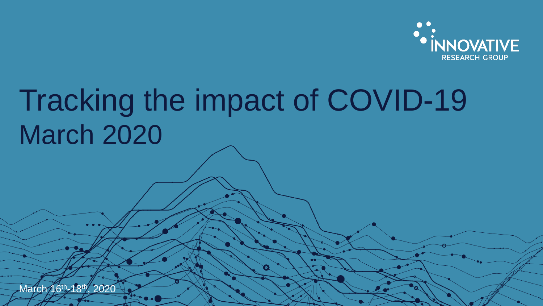

# Tracking the impact of COVID-19 March 2020

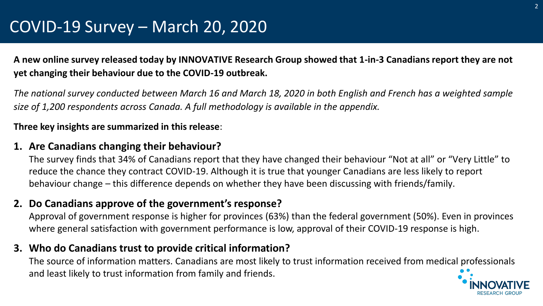### COVID-19 Survey – March 20, 2020

**A new online survey released today by INNOVATIVE Research Group showed that 1-in-3 Canadians report they are not yet changing their behaviour due to the COVID-19 outbreak.** 

*The national survey conducted between March 16 and March 18, 2020 in both English and French has a weighted sample size of 1,200 respondents across Canada. A full methodology is available in the appendix.*

### **Three key insights are summarized in this release**:

### **1. Are Canadians changing their behaviour?**

The survey finds that 34% of Canadians report that they have changed their behaviour "Not at all" or "Very Little" to reduce the chance they contract COVID-19. Although it is true that younger Canadians are less likely to report behaviour change – this difference depends on whether they have been discussing with friends/family.

### **2. Do Canadians approve of the government's response?**

Approval of government response is higher for provinces (63%) than the federal government (50%). Even in provinces where general satisfaction with government performance is low, approval of their COVID-19 response is high.

### **3. Who do Canadians trust to provide critical information?**

The source of information matters. Canadians are most likely to trust information received from medical professionals and least likely to trust information from family and friends.

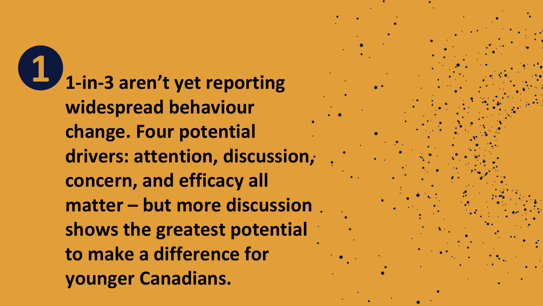**1 1-in-3 aren't yet reporting widespread behaviour change. Four potential drivers: attention, discussion, concern, and efficacy all matter – but more discussion shows the greatest potential to make a difference for younger Canadians.**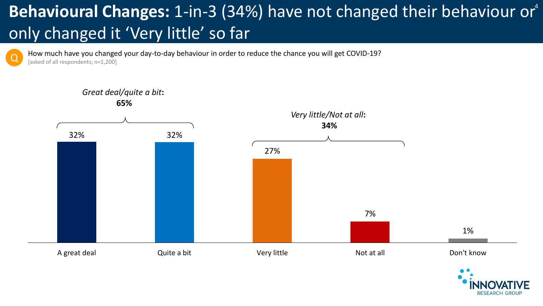# Behavioural Changes: 1-in-3 (34%) have not changed their behaviour or<sup>4</sup> only changed it 'Very little' so far

How much have you changed your day-to-day behaviour in order to reduce the chance you will get COVID-19? [asked of all respondents; n=1,200]



Q



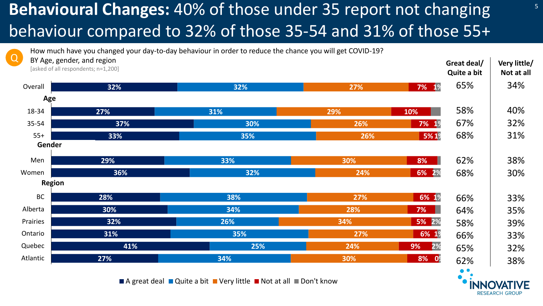### <sup>5</sup> **Behavioural Changes:** 40% of those under 35 report not changing behaviour compared to 32% of those 35-54 and 31% of those 55+

**Great deal/ Quite a bit Very little/ Not at all** 65% 34% 58% 40% 67% 32% 68% 31% 62% 38% 68% 30% 66% 33% 64% 35% 58% 39% 66% 33% 65% 32% 62% 38% **32% 27% 37% 33% 29% 36% 28% 30% 32% 31% 41% 27% 32% 31% 30% 35% 33% 32% 38% 34% 26% 35% 25% 34% 27% 29% 26% 26% 30% 24% 27% 28% 34% 27% 24% 30% 7% 1% 10% 7% 1% 5% 1% 8% 6% 2% 6% 1% 7% 5% 2% 6% 1% 9% 8% 0% 2%** Overall 18-34 35-54 55+ Men Women BC Alberta Prairies Ontario Quebec Atlantic **Gender Age Region** How much have you changed your day-to-day behaviour in order to reduce the chance you will get COVID-19? BY Age, gender, and region [asked of all respondents; n=1,200] Q

 $\blacksquare$  A great deal  $\blacksquare$  Quite a bit  $\blacksquare$  Very little  $\blacksquare$  Not at all  $\blacksquare$  Don't know

RESEARCH GROUP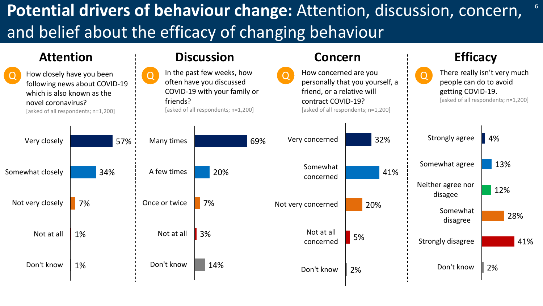### **Potential drivers of behaviour change:** Attention, discussion, concern, and belief about the efficacy of changing behaviour



6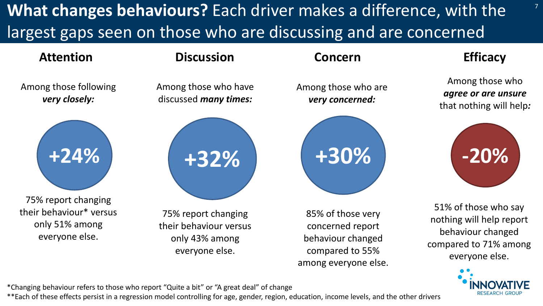**What changes behaviours?** Each driver makes a difference, with the largest gaps seen on those who are discussing and are concerned

7





\*\*Each of these effects persist in a regression model controlling for age, gender, region, education, income levels, and the other drivers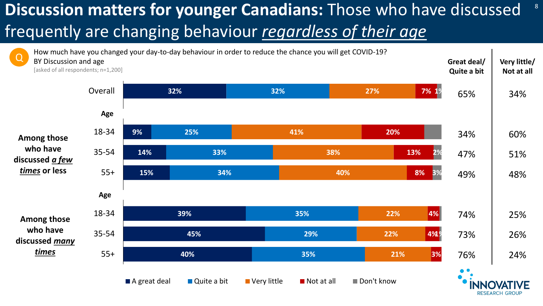# **Discussion matters for younger Canadians:** Those who have discussed frequently are changing behaviour *regardless of their age*



8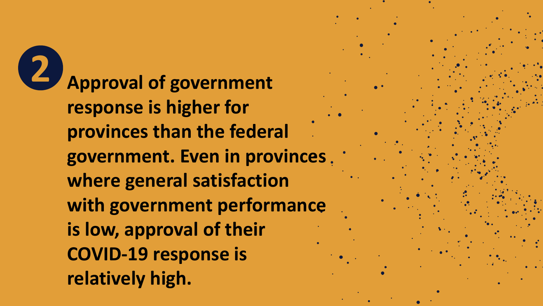**2 Approval of government response is higher for provinces than the federal government. Even in provinces where general satisfaction with government performance is low, approval of their COVID-19 response is relatively high.**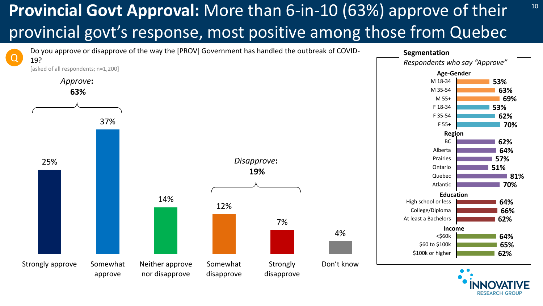### **Provincial Govt Approval:** More than 6-in-10 (63%) approve of their <sup>10</sup> provincial govt's response, most positive among those from Quebec

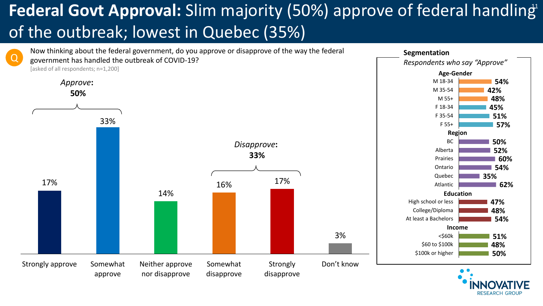## **Federal Govt Approval:** Slim majority (50%) approve of federal handling<sup>1</sup> of the outbreak; lowest in Quebec (35%)

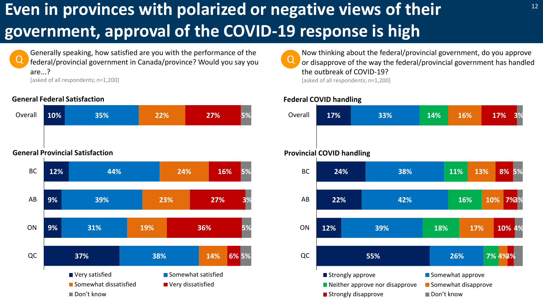## **Even in provinces with polarized or negative views of their government, approval of the COVID-19 response is high**



Generally speaking, how satisfied are you with the performance of the federal/provincial government in Canada/province? Would you say you are...? [asked of all respondents; n=1,200]

#### **General Federal Satisfaction**





Q Now thinking about the federal/provincial government, do you approve or disapprove of the way the federal/provincial government has handled the outbreak of COVID-19? [asked of all respondents; n=1,200]

#### **Federal COVID handling**

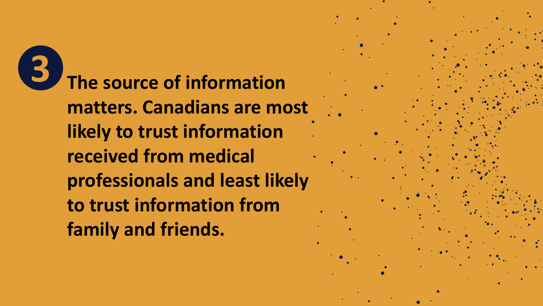**3 The source of information matters. Canadians are most likely to trust information received from medical professionals and least likely to trust information from family and friends.**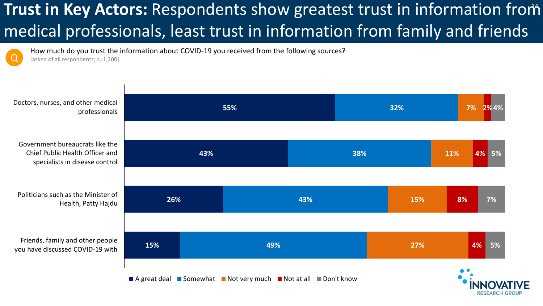### **Trust in Key Actors:** Respondents show greatest trust in information from medical professionals, least trust in information from family and friends

How much do you trust the information about COVID-19 you received from the following sources? [asked of all respondents; n=1,200]

**55% 43% 26% 15% 32% 38% 43% 49% 7% 11% 15% 27% 2% 4% 4% 5% 8% 4% 7% 5%** Doctors, nurses, and other medical professionals Government bureaucrats like the Chief Public Health Officer and specialists in disease control Politicians such as the Minister of Health, Patty Hajdu Friends, family and other people you have discussed COVID-19 with  $\blacksquare$  A great deal  $\blacksquare$  Somewhat  $\blacksquare$  Not very much  $\blacksquare$  Not at all  $\blacksquare$  Don't know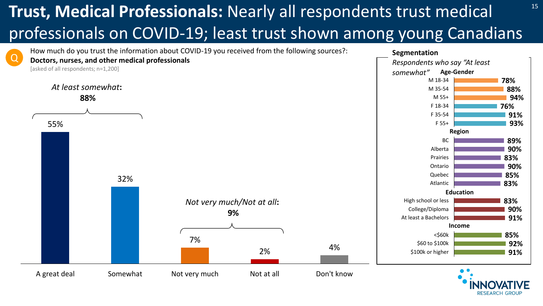# **Trust, Medical Professionals:** Nearly all respondents trust medical  $15$ professionals on COVID-19; least trust shown among young Canadians

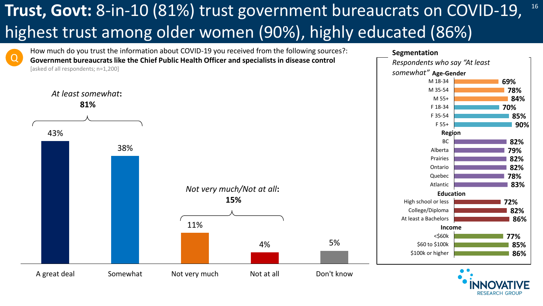### **Trust, Govt:** 8-in-10 (81%) trust government bureaucrats on COVID-19, <sup>16</sup> highest trust among older women (90%), highly educated (86%)

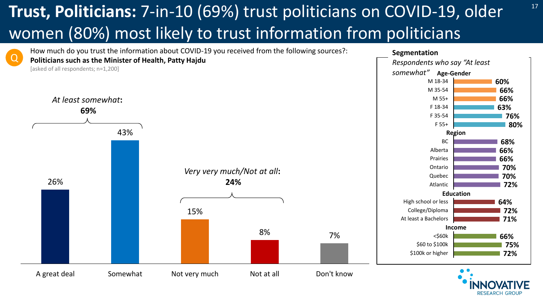## <sup>17</sup> **Trust, Politicians:** 7-in-10 (69%) trust politicians on COVID-19, older women (80%) most likely to trust information from politicians

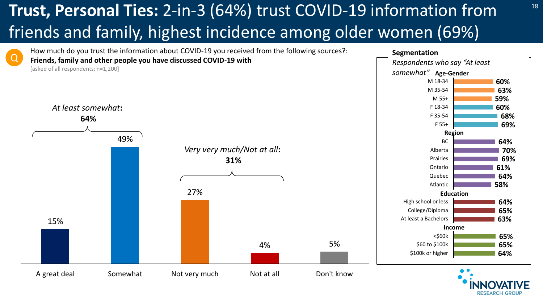### **Trust, Personal Ties:** 2-in-3 (64%) trust COVID-19 information from <sup>18</sup> friends and family, highest incidence among older women (69%)

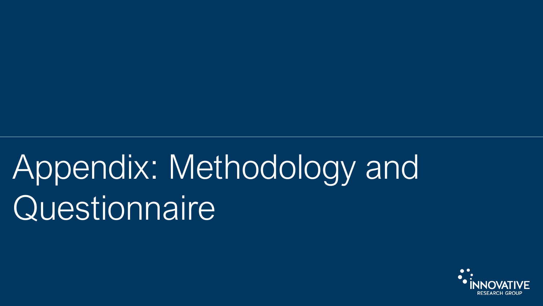# Appendix: Methodology and Questionnaire

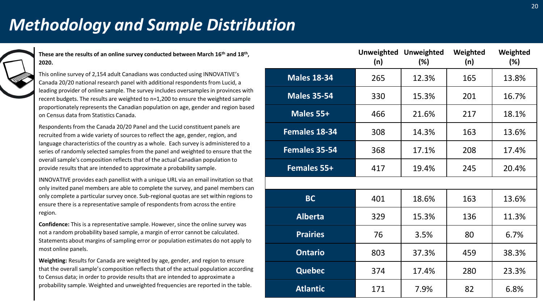### *Methodology and Sample Distribution*

**These are the results of an online survey conducted between March 16th and 18th , 2020.**

This online survey of 2,154 adult Canadians was conducted using INNOVATIVE's Canada 20/20 national research panel with additional respondents from Lucid, a leading provider of online sample. The survey includes oversamples in provinces with recent budgets. The results are weighted to n=1,200 to ensure the weighted sample proportionately represents the Canadian population on age, gender and region based on Census data from Statistics Canada.

Respondents from the Canada 20/20 Panel and the Lucid constituent panels are recruited from a wide variety of sources to reflect the age, gender, region, and language characteristics of the country as a whole. Each survey is administered to a series of randomly selected samples from the panel and weighted to ensure that the overall sample's composition reflects that of the actual Canadian population to provide results that are intended to approximate a probability sample.

INNOVATIVE provides each panellist with a unique URL via an email invitation so that only invited panel members are able to complete the survey, and panel members can only complete a particular survey once. Sub-regional quotas are set within regions to ensure there is a representative sample of respondents from across the entire region.

**Confidence:** This is a representative sample. However, since the online survey was not a random probability based sample, a margin of error cannot be calculated. Statements about margins of sampling error or population estimates do not apply to most online panels.

**Weighting:** Results for Canada are weighted by age, gender, and region to ensure that the overall sample's composition reflects that of the actual population according to Census data; in order to provide results that are intended to approximate a probability sample. Weighted and unweighted frequencies are reported in the table.

|                    | <b>Unweighted</b><br>(n) | <b>Unweighted</b><br>(%) | Weighted<br>(n) | Weighted<br>(%) |
|--------------------|--------------------------|--------------------------|-----------------|-----------------|
| <b>Males 18-34</b> | 265                      | 12.3%                    | 165             | 13.8%           |
| <b>Males 35-54</b> | 330                      | 15.3%                    | 201             | 16.7%           |
| Males 55+          | 466                      | 21.6%                    | 217             | 18.1%           |
| Females 18-34      | 308                      | 14.3%                    | 163             | 13.6%           |
| Females 35-54      | 368                      | 17.1%                    | 208             | 17.4%           |
| Females 55+        | 417                      | 19.4%                    | 245             | 20.4%           |
|                    |                          |                          |                 |                 |
| <b>BC</b>          | 401                      | 18.6%                    | 163             | 13.6%           |
| <b>Alberta</b>     | 329                      | 15.3%                    | 136             | 11.3%           |
| <b>Prairies</b>    | 76                       | 3.5%                     | 80              | 6.7%            |
| <b>Ontario</b>     | 803                      | 37.3%                    | 459             | 38.3%           |
| <b>Quebec</b>      | 374                      | 17.4%                    | 280             | 23.3%           |
| <b>Atlantic</b>    | 171                      | 7.9%                     | 82              | 6.8%            |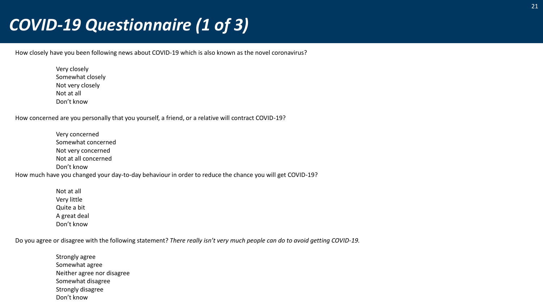### *COVID-19 Questionnaire (1 of 3)*

How closely have you been following news about COVID-19 which is also known as the novel coronavirus?

Very closely Somewhat closely Not very closely Not at all Don't know

How concerned are you personally that you yourself, a friend, or a relative will contract COVID-19?

Very concerned Somewhat concerned Not very concerned Not at all concerned Don't know How much have you changed your day-to-day behaviour in order to reduce the chance you will get COVID-19?

> Not at all Very little Quite a bit A great deal Don't know

Do you agree or disagree with the following statement? *There really isn't very much people can do to avoid getting COVID-19.*

Strongly agree Somewhat agree Neither agree nor disagree Somewhat disagree Strongly disagree Don't know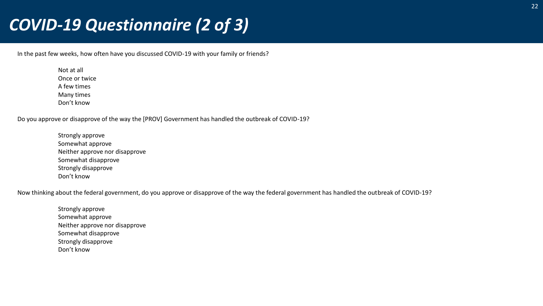### *COVID-19 Questionnaire (2 of 3)*

In the past few weeks, how often have you discussed COVID-19 with your family or friends?

Not at all Once or twice A few times Many times Don't know

Do you approve or disapprove of the way the [PROV] Government has handled the outbreak of COVID-19?

Strongly approve Somewhat approve Neither approve nor disapprove Somewhat disapprove Strongly disapprove Don't know

Now thinking about the federal government, do you approve or disapprove of the way the federal government has handled the outbreak of COVID-19?

Strongly approve Somewhat approve Neither approve nor disapprove Somewhat disapprove Strongly disapprove Don't know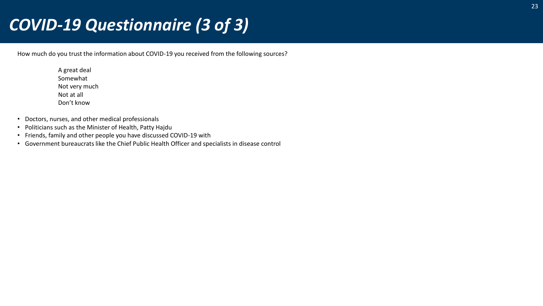### *COVID-19 Questionnaire (3 of 3)*

How much do you trust the information about COVID-19 you received from the following sources?

A great deal Somewhat Not very much Not at all Don't know

- Doctors, nurses, and other medical professionals
- Politicians such as the Minister of Health, Patty Hajdu
- Friends, family and other people you have discussed COVID-19 with
- Government bureaucrats like the Chief Public Health Officer and specialists in disease control